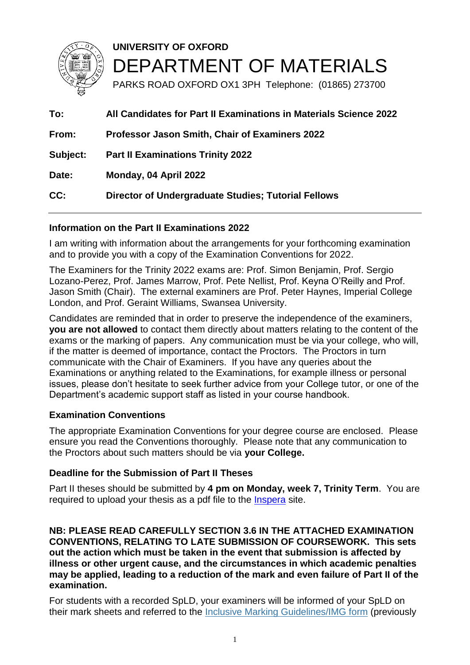

**UNIVERSITY OF OXFORD** DEPARTMENT OF MATERIALS

PARKS ROAD OXFORD OX1 3PH Telephone: (01865) 273700

**To: All Candidates for Part II Examinations in Materials Science 2022 From: Professor Jason Smith, Chair of Examiners 2022 Subject: Part II Examinations Trinity 2022 Date: Monday, 04 April 2022 CC: Director of Undergraduate Studies; Tutorial Fellows**

### **Information on the Part II Examinations 2022**

I am writing with information about the arrangements for your forthcoming examination and to provide you with a copy of the Examination Conventions for 2022.

The Examiners for the Trinity 2022 exams are: Prof. Simon Benjamin, Prof. Sergio Lozano-Perez, Prof. James Marrow, Prof. Pete Nellist, Prof. Keyna O'Reilly and Prof. Jason Smith (Chair). The external examiners are Prof. Peter Haynes, Imperial College London, and Prof. Geraint Williams, Swansea University.

Candidates are reminded that in order to preserve the independence of the examiners, **you are not allowed** to contact them directly about matters relating to the content of the exams or the marking of papers. Any communication must be via your college, who will, if the matter is deemed of importance, contact the Proctors. The Proctors in turn communicate with the Chair of Examiners. If you have any queries about the Examinations or anything related to the Examinations, for example illness or personal issues, please don't hesitate to seek further advice from your College tutor, or one of the Department's academic support staff as listed in your course handbook.

### **Examination Conventions**

The appropriate Examination Conventions for your degree course are enclosed. Please ensure you read the Conventions thoroughly. Please note that any communication to the Proctors about such matters should be via **your College.**

### **Deadline for the Submission of Part II Theses**

Part II theses should be submitted by **4 pm on Monday, week 7, Trinity Term**. You are required to upload your thesis as a pdf file to the [Inspera](https://oxford.inspera.com/) site.

**NB: PLEASE READ CAREFULLY SECTION 3.6 IN THE ATTACHED EXAMINATION CONVENTIONS, RELATING TO LATE SUBMISSION OF COURSEWORK. This sets out the action which must be taken in the event that submission is affected by illness or other urgent cause, and the circumstances in which academic penalties may be applied, leading to a reduction of the mark and even failure of Part II of the examination.**

For students with a recorded SpLD, your examiners will be informed of your SpLD on their mark sheets and referred to the Inclusive Marking [Guidelines/IMG](https://www.ox.ac.uk/sites/files/oxford/field/field_document/IMG%20Form.pdf) form (previously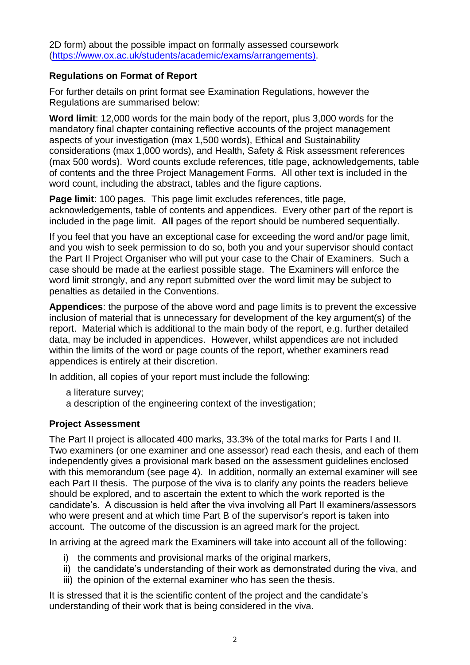2D form) about the possible impact on formally assessed coursework [\(https://www.ox.ac.uk/students/academic/exams/arrangements\)](https://www.ox.ac.uk/students/academic/exams/arrangements).

### **Regulations on Format of Report**

For further details on print format see Examination Regulations, however the Regulations are summarised below:

**Word limit**: 12,000 words for the main body of the report, plus 3,000 words for the mandatory final chapter containing reflective accounts of the project management aspects of your investigation (max 1,500 words), Ethical and Sustainability considerations (max 1,000 words), and Health, Safety & Risk assessment references (max 500 words). Word counts exclude references, title page, acknowledgements, table of contents and the three Project Management Forms. All other text is included in the word count, including the abstract, tables and the figure captions.

**Page limit**: 100 pages. This page limit excludes references, title page, acknowledgements, table of contents and appendices. Every other part of the report is included in the page limit. **All** pages of the report should be numbered sequentially.

If you feel that you have an exceptional case for exceeding the word and/or page limit, and you wish to seek permission to do so, both you and your supervisor should contact the Part II Project Organiser who will put your case to the Chair of Examiners. Such a case should be made at the earliest possible stage. The Examiners will enforce the word limit strongly, and any report submitted over the word limit may be subject to penalties as detailed in the Conventions.

**Appendices**: the purpose of the above word and page limits is to prevent the excessive inclusion of material that is unnecessary for development of the key argument(s) of the report. Material which is additional to the main body of the report, e.g. further detailed data, may be included in appendices. However, whilst appendices are not included within the limits of the word or page counts of the report, whether examiners read appendices is entirely at their discretion.

In addition, all copies of your report must include the following:

- a literature survey;
- a description of the engineering context of the investigation;

### **Project Assessment**

The Part II project is allocated 400 marks, 33.3% of the total marks for Parts I and II. Two examiners (or one examiner and one assessor) read each thesis, and each of them independently gives a provisional mark based on the assessment guidelines enclosed with this memorandum (see page 4). In addition, normally an external examiner will see each Part II thesis. The purpose of the viva is to clarify any points the readers believe should be explored, and to ascertain the extent to which the work reported is the candidate's. A discussion is held after the viva involving all Part II examiners/assessors who were present and at which time Part B of the supervisor's report is taken into account. The outcome of the discussion is an agreed mark for the project.

In arriving at the agreed mark the Examiners will take into account all of the following:

- i) the comments and provisional marks of the original markers,
- ii) the candidate's understanding of their work as demonstrated during the viva, and
- iii) the opinion of the external examiner who has seen the thesis.

It is stressed that it is the scientific content of the project and the candidate's understanding of their work that is being considered in the viva.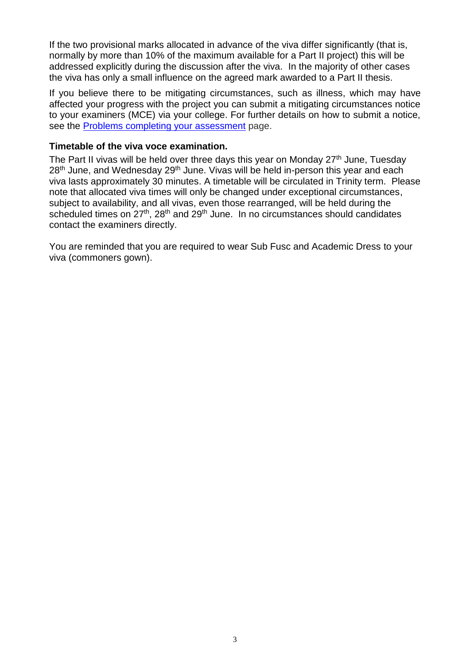If the two provisional marks allocated in advance of the viva differ significantly (that is, normally by more than 10% of the maximum available for a Part II project) this will be addressed explicitly during the discussion after the viva. In the majority of other cases the viva has only a small influence on the agreed mark awarded to a Part II thesis.

If you believe there to be mitigating circumstances, such as illness, which may have affected your progress with the project you can submit a mitigating circumstances notice to your examiners (MCE) via your college. For further details on how to submit a notice, see the Problems completing your [assessment](https://www.ox.ac.uk/students/academic/exams/problems-completing-your-assessment) page.

### **Timetable of the viva voce examination.**

The Part II vivas will be held over three days this year on Monday  $27<sup>th</sup>$  June, Tuesday 28<sup>th</sup> June, and Wednesday 29<sup>th</sup> June. Vivas will be held in-person this year and each viva lasts approximately 30 minutes. A timetable will be circulated in Trinity term. Please note that allocated viva times will only be changed under exceptional circumstances, subject to availability, and all vivas, even those rearranged, will be held during the scheduled times on  $27<sup>th</sup>$ ,  $28<sup>th</sup>$  and  $29<sup>th</sup>$  June. In no circumstances should candidates contact the examiners directly.

You are reminded that you are required to wear Sub Fusc and Academic Dress to your viva (commoners gown).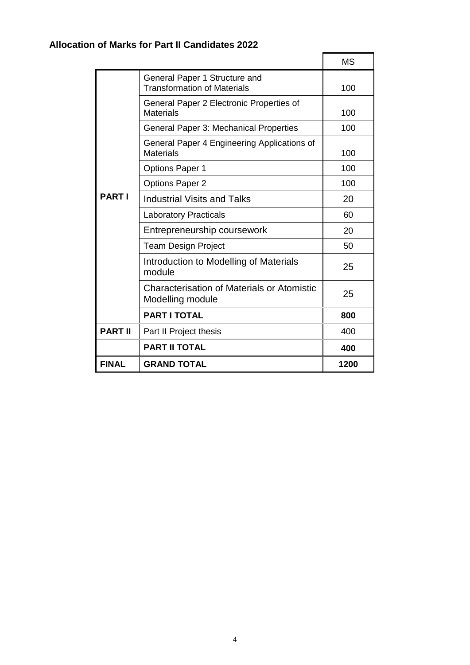# **Allocation of Marks for Part II Candidates 2022**

|                |                                                                       | <b>MS</b> |
|----------------|-----------------------------------------------------------------------|-----------|
| <b>PARTI</b>   | General Paper 1 Structure and<br><b>Transformation of Materials</b>   | 100       |
|                | General Paper 2 Electronic Properties of<br><b>Materials</b>          | 100       |
|                | General Paper 3: Mechanical Properties                                | 100       |
|                | General Paper 4 Engineering Applications of<br><b>Materials</b>       | 100       |
|                | <b>Options Paper 1</b>                                                | 100       |
|                | <b>Options Paper 2</b>                                                | 100       |
|                | <b>Industrial Visits and Talks</b>                                    | 20        |
|                | <b>Laboratory Practicals</b>                                          | 60        |
|                | Entrepreneurship coursework                                           | 20        |
|                | <b>Team Design Project</b>                                            | 50        |
|                | Introduction to Modelling of Materials<br>module                      | 25        |
|                | <b>Characterisation of Materials or Atomistic</b><br>Modelling module | 25        |
|                | <b>PART I TOTAL</b>                                                   | 800       |
| <b>PART II</b> | Part II Project thesis                                                | 400       |
|                | <b>PART II TOTAL</b>                                                  | 400       |
| <b>FINAL</b>   | <b>GRAND TOTAL</b>                                                    | 1200      |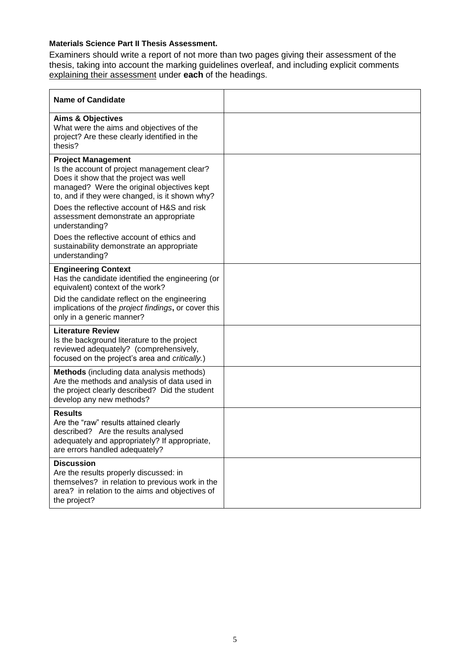#### **Materials Science Part II Thesis Assessment.**

Examiners should write a report of not more than two pages giving their assessment of the thesis, taking into account the marking guidelines overleaf, and including explicit comments explaining their assessment under **each** of the headings.

| <b>Name of Candidate</b>                                                                                                                                                                                                                                                                                                                                                                                                                 |  |
|------------------------------------------------------------------------------------------------------------------------------------------------------------------------------------------------------------------------------------------------------------------------------------------------------------------------------------------------------------------------------------------------------------------------------------------|--|
| <b>Aims &amp; Objectives</b><br>What were the aims and objectives of the<br>project? Are these clearly identified in the<br>thesis?                                                                                                                                                                                                                                                                                                      |  |
| <b>Project Management</b><br>Is the account of project management clear?<br>Does it show that the project was well<br>managed? Were the original objectives kept<br>to, and if they were changed, is it shown why?<br>Does the reflective account of H&S and risk<br>assessment demonstrate an appropriate<br>understanding?<br>Does the reflective account of ethics and<br>sustainability demonstrate an appropriate<br>understanding? |  |
| <b>Engineering Context</b><br>Has the candidate identified the engineering (or<br>equivalent) context of the work?                                                                                                                                                                                                                                                                                                                       |  |
| Did the candidate reflect on the engineering<br>implications of the project findings, or cover this<br>only in a generic manner?                                                                                                                                                                                                                                                                                                         |  |
| <b>Literature Review</b><br>Is the background literature to the project<br>reviewed adequately? (comprehensively,<br>focused on the project's area and critically.)                                                                                                                                                                                                                                                                      |  |
| Methods (including data analysis methods)<br>Are the methods and analysis of data used in<br>the project clearly described? Did the student<br>develop any new methods?                                                                                                                                                                                                                                                                  |  |
| <b>Results</b><br>Are the "raw" results attained clearly<br>described? Are the results analysed<br>adequately and appropriately? If appropriate,<br>are errors handled adequately?                                                                                                                                                                                                                                                       |  |
| <b>Discussion</b><br>Are the results properly discussed: in<br>themselves? in relation to previous work in the<br>area? in relation to the aims and objectives of<br>the project?                                                                                                                                                                                                                                                        |  |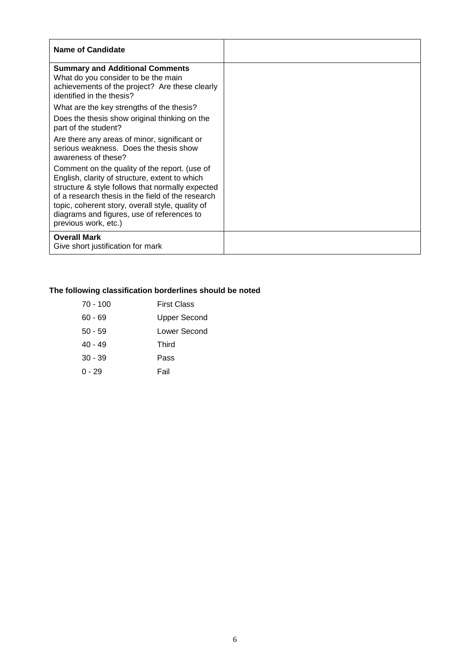| <b>Name of Candidate</b>                                                                                                                                                                                                                                                                                                           |  |
|------------------------------------------------------------------------------------------------------------------------------------------------------------------------------------------------------------------------------------------------------------------------------------------------------------------------------------|--|
| <b>Summary and Additional Comments</b><br>What do you consider to be the main<br>achievements of the project? Are these clearly<br>identified in the thesis?                                                                                                                                                                       |  |
| What are the key strengths of the thesis?                                                                                                                                                                                                                                                                                          |  |
| Does the thesis show original thinking on the<br>part of the student?                                                                                                                                                                                                                                                              |  |
| Are there any areas of minor, significant or<br>serious weakness. Does the thesis show<br>awareness of these?                                                                                                                                                                                                                      |  |
| Comment on the quality of the report. (use of<br>English, clarity of structure, extent to which<br>structure & style follows that normally expected<br>of a research thesis in the field of the research<br>topic, coherent story, overall style, quality of<br>diagrams and figures, use of references to<br>previous work, etc.) |  |
| <b>Overall Mark</b><br>Give short justification for mark                                                                                                                                                                                                                                                                           |  |

## **The following classification borderlines should be noted**

| $70 - 100$ | <b>First Class</b> |
|------------|--------------------|
| $60 - 69$  | Upper Second       |
| $50 - 59$  | Lower Second       |
| $40 - 49$  | Third              |
| $30 - 39$  | Pass               |
| $0 - 29$   | Fail               |